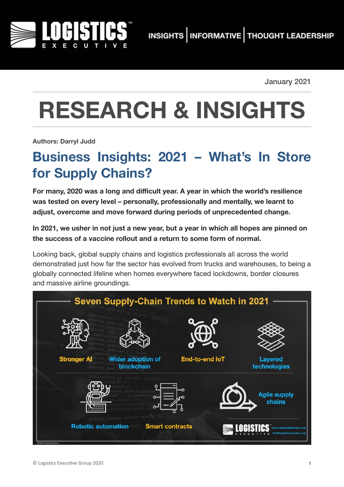

January 2021

# **RESEARCH & INSIGHTS**

**Authors: Darryl Judd**

## **Business Insights: 2021 – What's In Store for Supply Chains?**

**For many, 2020 was a long and difficult year. A year in which the world's resilience was tested on every level – personally, professionally and mentally, we learnt to adjust, overcome and move forward during periods of unprecedented change.** 

**In 2021, we usher in not just a new year, but a year in which all hopes are pinned on the success of a vaccine rollout and a return to some form of normal.**

Looking back, global supply chains and logistics professionals all across the world demonstrated just how far the sector has evolved from trucks and warehouses, to being a globally connected lifeline when homes everywhere faced lockdowns, border closures and massive airline groundings.

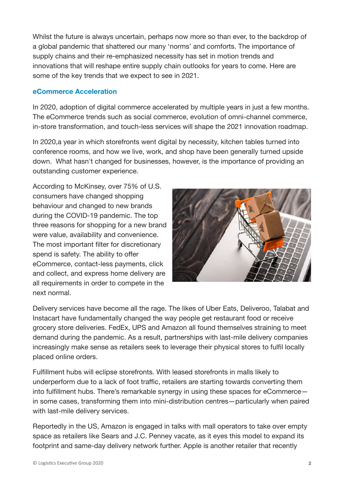Whilst the future is always uncertain, perhaps now more so than ever, to the backdrop of a global pandemic that shattered our many 'norms' and comforts. The importance of supply chains and their re-emphasized necessity has set in motion trends and innovations that will reshape entire supply chain outlooks for years to come. Here are some of the key trends that we expect to see in 2021.

#### **eCommerce Acceleration**

In 2020, adoption of digital commerce accelerated by multiple years in just a few months. The eCommerce trends such as social commerce, evolution of omni-channel commerce, in-store transformation, and touch-less services will shape the 2021 innovation roadmap.

In 2020,a year in which storefronts went digital by necessity, kitchen tables turned into conference rooms, and how we live, work, and shop have been generally turned upside down. What hasn't changed for businesses, however, is the importance of providing an outstanding customer experience.

According to McKinsey, over 75% of U.S. consumers have changed shopping behaviour and changed to new brands during the COVID-19 pandemic. The top three reasons for shopping for a new brand were value, availability and convenience. The most important filter for discretionary spend is safety. The ability to offer eCommerce, contact-less payments, click and collect, and express home delivery are all requirements in order to compete in the next normal.



Delivery services have become all the rage. The likes of Uber Eats, Deliveroo, Talabat and Instacart have fundamentally changed the way people get restaurant food or receive grocery store deliveries. FedEx, UPS and Amazon all found themselves straining to meet demand during the pandemic. As a result, partnerships with last-mile delivery companies increasingly make sense as retailers seek to leverage their physical stores to fulfil locally placed online orders.

Fulfillment hubs will eclipse storefronts. With leased storefronts in malls likely to underperform due to a lack of foot traffic, retailers are starting towards converting them into fulfillment hubs. There's remarkable synergy in using these spaces for eCommerce in some cases, transforming them into mini-distribution centres—particularly when paired with last-mile delivery services.

Reportedly in the US, Amazon is engaged in talks with mall operators to take over empty space as retailers like Sears and J.C. Penney vacate, as it eyes this model to expand its footprint and same-day delivery network further. Apple is another retailer that recently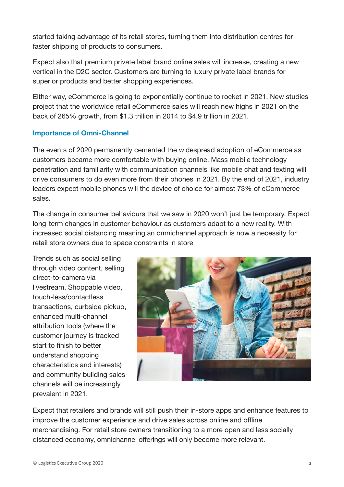started taking advantage of its retail stores, turning them into distribution centres for faster shipping of products to consumers.

Expect also that premium private label brand online sales will increase, creating a new vertical in the D2C sector. Customers are turning to luxury private label brands for superior products and better shopping experiences.

Either way, eCommerce is going to exponentially continue to rocket in 2021. New studies project that the worldwide retail eCommerce sales will reach new highs in 2021 on the back of 265% growth, from \$1.3 trillion in 2014 to \$4.9 trillion in 2021.

#### **Importance of Omni-Channel**

The events of 2020 permanently cemented the widespread adoption of eCommerce as customers became more comfortable with buying online. Mass mobile technology penetration and familiarity with communication channels like mobile chat and texting will drive consumers to do even more from their phones in 2021. By the end of 2021, industry leaders expect mobile phones will the device of choice for almost 73% of eCommerce sales.

The change in consumer behaviours that we saw in 2020 won't just be temporary. Expect long-term changes in customer behaviour as customers adapt to a new reality. With increased social distancing meaning an omnichannel approach is now a necessity for retail store owners due to space constraints in store

Trends such as social selling through video content, selling direct-to-camera via livestream, Shoppable video, touch-less/contactless transactions, curbside pickup, enhanced multi-channel attribution tools (where the customer journey is tracked start to finish to better understand shopping characteristics and interests) and community building sales channels will be increasingly prevalent in 2021.



Expect that retailers and brands will still push their in-store apps and enhance features to improve the customer experience and drive sales across online and offline merchandising. For retail store owners transitioning to a more open and less socially distanced economy, omnichannel offerings will only become more relevant.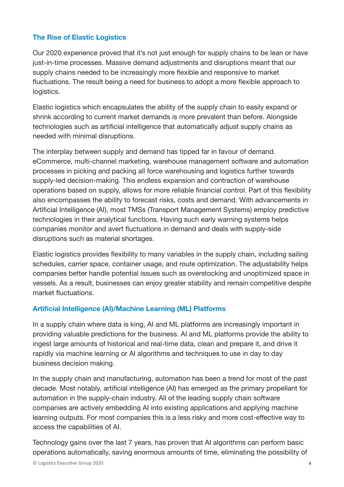#### **The Rise of Elastic Logistics**

Our 2020 experience proved that it's not just enough for supply chains to be lean or have just-in-time processes. Massive demand adjustments and disruptions meant that our supply chains needed to be increasingly more flexible and responsive to market fluctuations. The result being a need for business to adopt a more flexible approach to logistics.

Elastic logistics which encapsulates the ability of the supply chain to easily expand or shrink according to current market demands is more prevalent than before. Alongside technologies such as artificial intelligence that automatically adjust supply chains as needed with minimal disruptions.

The interplay between supply and demand has tipped far in favour of demand. eCommerce, multi-channel marketing, warehouse management software and automation processes in picking and packing all force warehousing and logistics further towards supply-led decision-making. This endless expansion and contraction of warehouse operations based on supply, allows for more reliable financial control. Part of this flexibility also encompasses the ability to forecast risks, costs and demand. With advancements in Artificial Intelligence (AI), most TMSs (Transport Management Systems) employ predictive technologies in their analytical functions. Having such early warning systems helps companies monitor and avert fluctuations in demand and deals with supply-side disruptions such as material shortages.

Elastic logistics provides flexibility to many variables in the supply chain, including sailing schedules, carrier space, container usage, and route optimization. The adjustability helps companies better handle potential issues such as overstocking and unoptimized space in vessels. As a result, businesses can enjoy greater stability and remain competitive despite market fluctuations.

#### **Artificial Intelligence (AI)/Machine Learning (ML) Platforms**

In a supply chain where data is king, AI and ML platforms are increasingly important in providing valuable predictions for the business. AI and ML platforms provide the ability to ingest large amounts of historical and real-time data, clean and prepare it, and drive it rapidly via machine learning or AI algorithms and techniques to use in day to day business decision making.

In the supply chain and manufacturing, automation has been a trend for most of the past decade. Most notably, artificial intelligence (AI) has emerged as the primary propellant for automation in the supply-chain industry. All of the leading supply chain software companies are actively embedding AI into existing applications and applying machine learning outputs. For most companies this is a less risky and more cost-effective way to access the capabilities of AI.

Technology gains over the last 7 years, has proven that AI algorithms can perform basic operations automatically, saving enormous amounts of time, eliminating the possibility of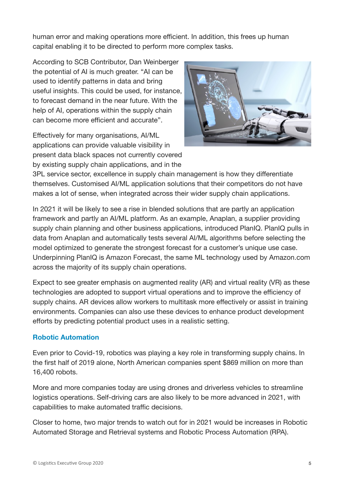human error and making operations more efficient. In addition, this frees up human capital enabling it to be directed to perform more complex tasks.

According to SCB Contributor, Dan Weinberger the potential of AI is much greater. "AI can be used to identify patterns in data and bring useful insights. This could be used, for instance, to forecast demand in the near future. With the help of AI, operations within the supply chain can become more efficient and accurate".

Effectively for many organisations, AI/ML applications can provide valuable visibility in present data black spaces not currently covered by existing supply chain applications, and in the



3PL service sector, excellence in supply chain management is how they differentiate themselves. Customised AI/ML application solutions that their competitors do not have makes a lot of sense, when integrated across their wider supply chain applications.

In 2021 it will be likely to see a rise in blended solutions that are partly an application framework and partly an AI/ML platform. As an example, Anaplan, a supplier providing supply chain planning and other business applications, introduced PlanIQ. PlanIQ pulls in data from Anaplan and automatically tests several AI/ML algorithms before selecting the model optimized to generate the strongest forecast for a customer's unique use case. Underpinning PlanIQ is Amazon Forecast, the same ML technology used by Amazon.com across the majority of its supply chain operations.

Expect to see greater emphasis on augmented reality (AR) and virtual reality (VR) as these technologies are adopted to support virtual operations and to improve the efficiency of supply chains. AR devices allow workers to multitask more effectively or assist in training environments. Companies can also use these devices to enhance product development efforts by predicting potential product uses in a realistic setting.

#### **Robotic Automation**

Even prior to Covid-19, robotics was playing a key role in transforming supply chains. In the first half of 2019 alone, North American companies spent \$869 million on more than 16,400 robots.

More and more companies today are using drones and driverless vehicles to streamline logistics operations. Self-driving cars are also likely to be more advanced in 2021, with capabilities to make automated traffic decisions.

Closer to home, two major trends to watch out for in 2021 would be increases in Robotic Automated Storage and Retrieval systems and Robotic Process Automation (RPA).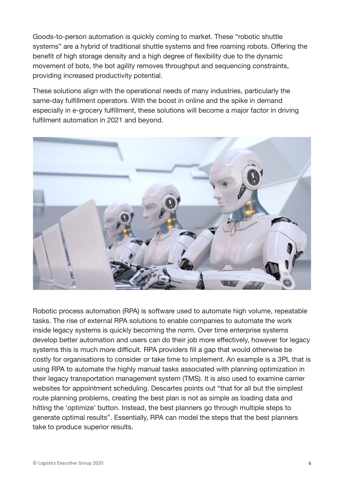Goods-to-person automation is quickly coming to market. These "robotic shuttle systems" are a hybrid of traditional shuttle systems and free roaming robots. Offering the benefit of high storage density and a high degree of flexibility due to the dynamic movement of bots, the bot agility removes throughput and sequencing constraints, providing increased productivity potential.

These solutions align with the operational needs of many industries, particularly the same-day fulfillment operators. With the boost in online and the spike in demand especially in e-grocery fulfillment, these solutions will become a major factor in driving fulfilment automation in 2021 and beyond.



Robotic process automation (RPA) is software used to automate high volume, repeatable tasks. The rise of external RPA solutions to enable companies to automate the work inside legacy systems is quickly becoming the norm. Over time enterprise systems develop better automation and users can do their job more effectively, however for legacy systems this is much more difficult. RPA providers fill a gap that would otherwise be costly for organisations to consider or take time to implement. An example is a 3PL that is using RPA to automate the highly manual tasks associated with planning optimization in their legacy transportation management system (TMS). It is also used to examine carrier websites for appointment scheduling. Descartes points out "that for all but the simplest route planning problems, creating the best plan is not as simple as loading data and hitting the 'optimize' button. Instead, the best planners go through multiple steps to generate optimal results". Essentially, RPA can model the steps that the best planners take to produce superior results.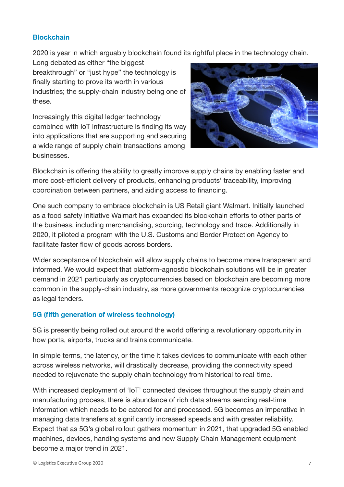#### **Blockchain**

2020 is year in which arguably blockchain found its rightful place in the technology chain.

Long debated as either "the biggest breakthrough" or "just hype" the technology is finally starting to prove its worth in various industries; the supply-chain industry being one of these.

Increasingly this digital ledger technology combined with IoT infrastructure is finding its way into applications that are supporting and securing a wide range of supply chain transactions among businesses.



Blockchain is offering the ability to greatly improve supply chains by enabling faster and more cost-efficient delivery of products, enhancing products' traceability, improving coordination between partners, and aiding access to financing.

One such company to embrace blockchain is US Retail giant Walmart. Initially launched as a food safety initiative Walmart has expanded its blockchain efforts to other parts of the business, including merchandising, sourcing, technology and trade. Additionally in 2020, it piloted a program with the U.S. Customs and Border Protection Agency to facilitate faster flow of goods across borders.

Wider acceptance of blockchain will allow supply chains to become more transparent and informed. We would expect that platform-agnostic blockchain solutions will be in greater demand in 2021 particularly as cryptocurrencies based on blockchain are becoming more common in the supply-chain industry, as more governments recognize cryptocurrencies as legal tenders.

#### **5G (fifth generation of wireless technology)**

5G is presently being rolled out around the world offering a revolutionary opportunity in how ports, airports, trucks and trains communicate.

In simple terms, the latency, or the time it takes devices to communicate with each other across wireless networks, will drastically decrease, providing the connectivity speed needed to rejuvenate the supply chain technology from historical to real-time.

With increased deployment of 'IoT' connected devices throughout the supply chain and manufacturing process, there is abundance of rich data streams sending real-time information which needs to be catered for and processed. 5G becomes an imperative in managing data transfers at significantly increased speeds and with greater reliability. Expect that as 5G's global rollout gathers momentum in 2021, that upgraded 5G enabled machines, devices, handing systems and new Supply Chain Management equipment become a major trend in 2021.